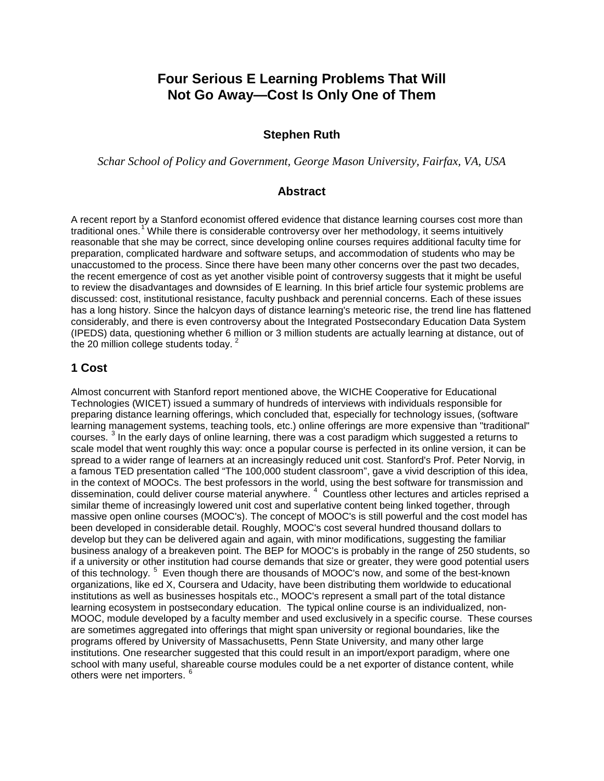# **Four Serious E Learning Problems That Will Not Go Away—Cost Is Only One of Them**

#### **Stephen Ruth**

*Schar School of Policy and Government, George Mason University, Fairfax, VA, USA*

#### **Abstract**

A recent report by a Stanford economist offered evidence that distance learning courses cost more than traditional ones.<sup>[1](#page-3-0)</sup> While there is considerable controversy over her methodology, it seems intuitively reasonable that she may be correct, since developing online courses requires additional faculty time for preparation, complicated hardware and software setups, and accommodation of students who may be unaccustomed to the process. Since there have been many other concerns over the past two decades, the recent emergence of cost as yet another visible point of controversy suggests that it might be useful to review the disadvantages and downsides of E learning. In this brief article four systemic problems are discussed: cost, institutional resistance, faculty pushback and perennial concerns. Each of these issues has a long history. Since the halcyon days of distance learning's meteoric rise, the trend line has flattened considerably, and there is even controversy about the Integrated Postsecondary Education Data System (IPEDS) data, questioning whether 6 million or 3 million students are actually learning at distance, out of the [2](#page-4-0)0 million college students today.

#### **1 Cost**

Almost concurrent with Stanford report mentioned above, the WICHE Cooperative for Educational Technologies (WICET) issued a summary of hundreds of interviews with individuals responsible for preparing distance learning offerings, which concluded that, especially for technology issues, (software learning management systems, teaching tools, etc.) online offerings are more expensive than "traditional" courses. [3](#page-4-1) In the early days of online learning, there was a cost paradigm which suggested a returns to scale model that went roughly this way: once a popular course is perfected in its online version, it can be spread to a wider range of learners at an increasingly reduced unit cost. Stanford's Prof. Peter Norvig, in a famous TED presentation called "The 100,000 student classroom", gave a vivid description of this idea, in the context of MOOCs. The best professors in the world, using the best software for transmission and dissemination, could deliver course material anywhere. [4](#page-4-2) Countless other lectures and articles reprised a similar theme of increasingly lowered unit cost and superlative content being linked together, through massive open online courses (MOOC's). The concept of MOOC's is still powerful and the cost model has been developed in considerable detail. Roughly, MOOC's cost several hundred thousand dollars to develop but they can be delivered again and again, with minor modifications, suggesting the familiar business analogy of a breakeven point. The BEP for MOOC's is probably in the range of 250 students, so if a university or other institution had course demands that size or greater, they were good potential users of this technology. <sup>[5](#page-4-3)</sup> Even though there are thousands of MOOC's now, and some of the best-known organizations, like ed X, Coursera and Udacity, have been distributing them worldwide to educational institutions as well as businesses hospitals etc., MOOC's represent a small part of the total distance learning ecosystem in postsecondary education. The typical online course is an individualized, non-MOOC, module developed by a faculty member and used exclusively in a specific course. These courses are sometimes aggregated into offerings that might span university or regional boundaries, like the programs offered by University of Massachusetts, Penn State University, and many other large institutions. One researcher suggested that this could result in an import/export paradigm, where one school with many useful, shareable course modules could be a net exporter of distance content, while others were net importers.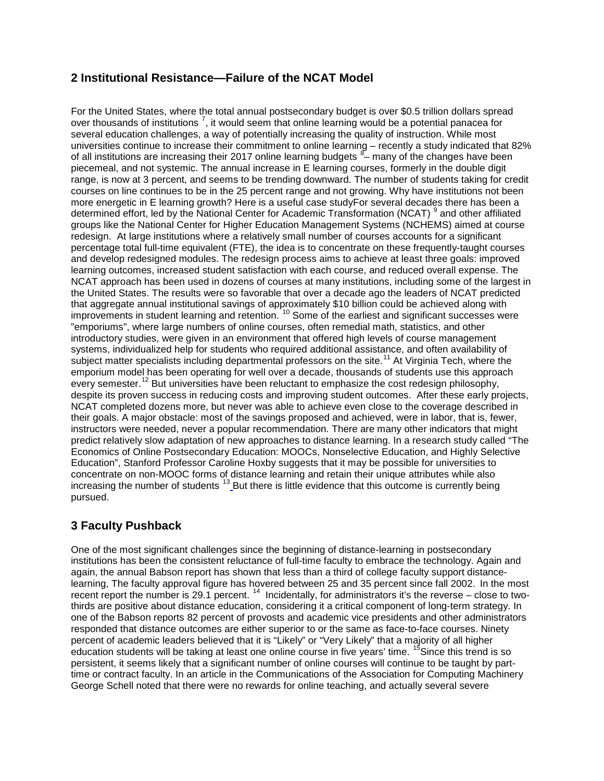### **2 Institutional Resistance—Failure of the NCAT Model**

For the United States, where the total annual postsecondary budget is over \$0.5 trillion dollars spread over thousands of institutions  $^7$  $^7$ , it would seem that online learning would be a potential panacea for several education challenges, a way of potentially increasing the quality of instruction. While most universities continue to increase their commitment to online learning – recently a study indicated that 82% of all institutions are increasing their 2017 online learning budgets <sup>[8](#page-4-6)</sup>- many of the changes have been piecemeal, and not systemic. The annual increase in E learning courses, formerly in the double digit range, is now at 3 percent, and seems to be trending downward. The number of students taking for credit courses on line continues to be in the 25 percent range and not growing. Why have institutions not been more energetic in E learning growth? Here is a useful case studyFor several decades there has been a determined effort, led by the National Center for Academic Transformation (NCAT)<sup>[9](#page-4-7)</sup> and other affiliated groups like the National Center for Higher Education Management Systems (NCHEMS) aimed at course redesign. At large institutions where a relatively small number of courses accounts for a significant percentage total full-time equivalent (FTE), the idea is to concentrate on these frequently-taught courses and develop redesigned modules. The redesign process aims to achieve at least three goals: improved learning outcomes, increased student satisfaction with each course, and reduced overall expense. The NCAT approach has been used in dozens of courses at many institutions, including some of the largest in the United States. The results were so favorable that over a decade ago the leaders of NCAT predicted that aggregate annual institutional savings of approximately \$10 billion could be achieved along with incresgregents in student learning and retention. <sup>[10](#page-4-8)</sup> Some of the earliest and significant successes were "emporiums", where large numbers of online courses, often remedial math, statistics, and other introductory studies, were given in an environment that offered high levels of course management systems, individualized help for students who required additional assistance, and often availability of subject matter specialists including departmental professors on the site.<sup>[11](#page-4-9)</sup> At Virginia Tech, where the emporium model has been operating for well over a decade, thousands of students use this approach every semester.<sup>[12](#page-4-10)</sup> But universities have been reluctant to emphasize the cost redesign philosophy, despite its proven success in reducing costs and improving student outcomes. After these early projects, NCAT completed dozens more, but never was able to achieve even close to the coverage described in their goals. A major obstacle: most of the savings proposed and achieved, were in labor, that is, fewer, instructors were needed, never a popular recommendation. There are many other indicators that might predict relatively slow adaptation of new approaches to distance learning. In a research study called "The Economics of Online Postsecondary Education: MOOCs, Nonselective Education, and Highly Selective Education", Stanford Professor Caroline Hoxby suggests that it may be possible for universities to concentrate on non-MOOC forms of distance learning and retain their unique attributes while also increasing the number of students  $^{13}$  $^{13}$  $^{13}$  But there is little evidence that this outcome is currently being pursued.

# **3 Faculty Pushback**

One of the most significant challenges since the beginning of distance-learning in postsecondary institutions has been the consistent reluctance of full-time faculty to embrace the technology. Again and again, the annual Babson report has shown that less than a third of college faculty support distancelearning, The faculty approval figure has hovered between 25 and 35 percent since fall 2002. In the most recent report the number is 29.1 percent. [14](#page-4-12) Incidentally, for administrators it's the reverse – close to twothirds are positive about distance education, considering it a critical component of long-term strategy. In one of the Babson reports 82 percent of provosts and academic vice presidents and other administrators responded that distance outcomes are either superior to or the same as face-to-face courses. Ninety percent of academic leaders believed that it is "Likely" or "Very Likely" that a majority of all higher education students will be taking at least one online course in five years' time. <sup>[15](#page-4-13)</sup>Since this trend is so persistent, it seems likely that a significant number of online courses will continue to be taught by parttime or contract faculty. In an article in the Communications of the Association for Computing Machinery George Schell noted that there were no rewards for online teaching, and actually several severe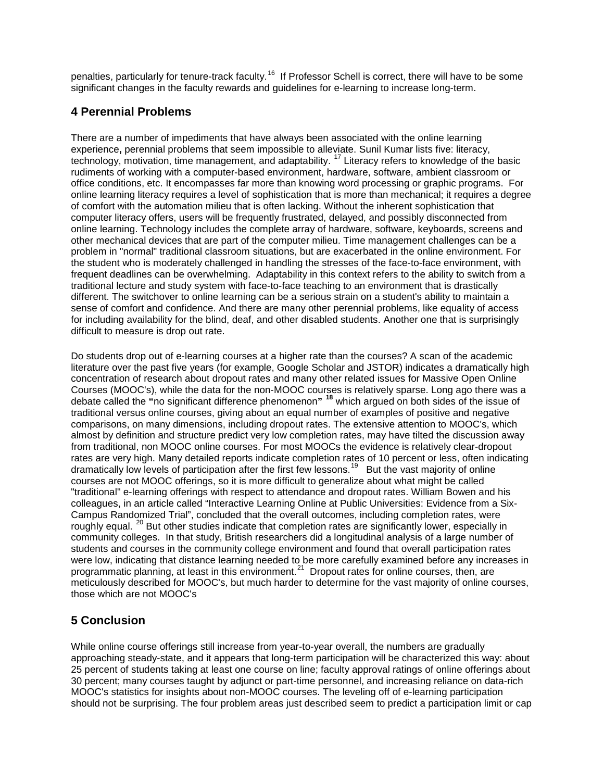penalties, particularly for tenure-track faculty.<sup>16</sup> If Professor Schell is correct, there will have to be some significant changes in the faculty rewards and guidelines for e-learning to increase long-term.

### **4 Perennial Problems**

There are a number of impediments that have always been associated with the online learning experience**,** perennial problems that seem impossible to alleviate. Sunil Kumar lists five: literacy, technology, motivation, time management, and adaptability. [17](#page-4-15) Literacy refers to knowledge of the basic rudiments of working with a computer-based environment, hardware, software, ambient classroom or office conditions, etc. It encompasses far more than knowing word processing or graphic programs. For online learning literacy requires a level of sophistication that is more than mechanical; it requires a degree of comfort with the automation milieu that is often lacking. Without the inherent sophistication that computer literacy offers, users will be frequently frustrated, delayed, and possibly disconnected from online learning. Technology includes the complete array of hardware, software, keyboards, screens and other mechanical devices that are part of the computer milieu. Time management challenges can be a problem in "normal" traditional classroom situations, but are exacerbated in the online environment. For the student who is moderately challenged in handling the stresses of the face-to-face environment, with frequent deadlines can be overwhelming. Adaptability in this context refers to the ability to switch from a traditional lecture and study system with face-to-face teaching to an environment that is drastically different. The switchover to online learning can be a serious strain on a student's ability to maintain a sense of comfort and confidence. And there are many other perennial problems, like equality of access for including availability for the blind, deaf, and other disabled students. Another one that is surprisingly difficult to measure is drop out rate.

Do students drop out of e-learning courses at a higher rate than the courses? A scan of the academic literature over the past five years (for example, Google Scholar and JSTOR) indicates a dramatically high concentration of research about dropout rates and many other related issues for Massive Open Online Courses (MOOC's), while the data for the non-MOOC courses is relatively sparse. Long ago there was a debate called the **"**no significant difference phenomenon**" [18](#page-4-16)** which argued on both sides of the issue of traditional versus online courses, giving about an equal number of examples of positive and negative comparisons, on many dimensions, including dropout rates. The extensive attention to MOOC's, which almost by definition and structure predict very low completion rates, may have tilted the discussion away from traditional, non MOOC online courses. For most MOOCs the evidence is relatively clear-dropout rates are very high. Many detailed reports indicate completion rates of 10 percent or less, often indicating dramatically low levels of participation after the first few lessons.<sup>[19](#page-5-0)</sup> But the vast majority of online courses are not MOOC offerings, so it is more difficult to generalize about what might be called "traditional" e-learning offerings with respect to attendance and dropout rates. William Bowen and his colleagues, in an article called "Interactive Learning Online at Public Universities: Evidence from a Six-Campus Randomized Trial", concluded that the overall outcomes, including completion rates, were roughly equal. <sup>[20](#page-5-1)</sup> But other studies indicate that completion rates are significantly lower, especially in community colleges. In that study, British researchers did a longitudinal analysis of a large number of students and courses in the community college environment and found that overall participation rates were low, indicating that distance learning needed to be more carefully examined before any increases in programmatic planning, at least in this environment.<sup>21</sup> Dropout rates for online courses, then, are meticulously described for MOOC's, but much harder to determine for the vast majority of online courses, those which are not MOOC's

# **5 Conclusion**

While online course offerings still increase from year-to-year overall, the numbers are gradually approaching steady-state, and it appears that long-term participation will be characterized this way: about 25 percent of students taking at least one course on line; faculty approval ratings of online offerings about 30 percent; many courses taught by adjunct or part-time personnel, and increasing reliance on data-rich MOOC's statistics for insights about non-MOOC courses. The leveling off of e-learning participation should not be surprising. The four problem areas just described seem to predict a participation limit or cap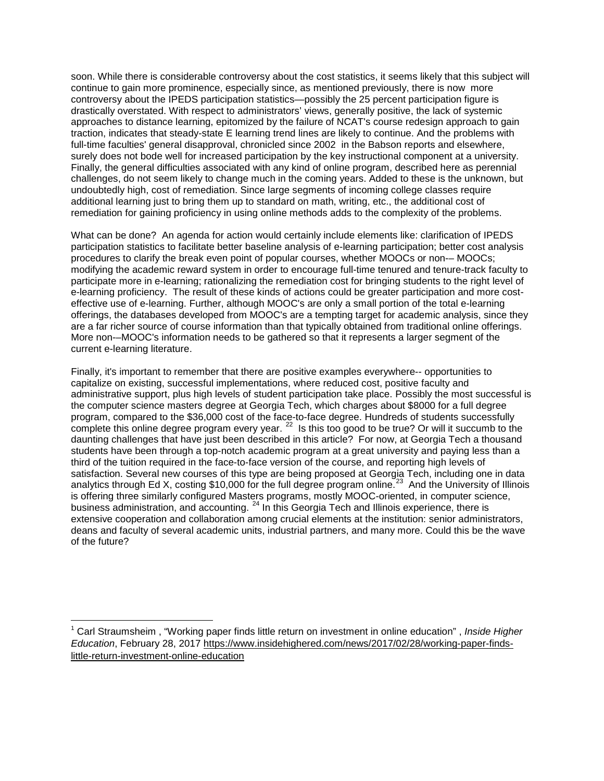soon. While there is considerable controversy about the cost statistics, it seems likely that this subject will continue to gain more prominence, especially since, as mentioned previously, there is now more controversy about the IPEDS participation statistics—possibly the 25 percent participation figure is drastically overstated. With respect to administrators' views, generally positive, the lack of systemic approaches to distance learning, epitomized by the failure of NCAT's course redesign approach to gain traction, indicates that steady-state E learning trend lines are likely to continue. And the problems with full-time faculties' general disapproval, chronicled since 2002 in the Babson reports and elsewhere, surely does not bode well for increased participation by the key instructional component at a university. Finally, the general difficulties associated with any kind of online program, described here as perennial challenges, do not seem likely to change much in the coming years. Added to these is the unknown, but undoubtedly high, cost of remediation. Since large segments of incoming college classes require additional learning just to bring them up to standard on math, writing, etc., the additional cost of remediation for gaining proficiency in using online methods adds to the complexity of the problems.

What can be done? An agenda for action would certainly include elements like: clarification of IPEDS participation statistics to facilitate better baseline analysis of e-learning participation; better cost analysis procedures to clarify the break even point of popular courses, whether MOOCs or non-– MOOCs; modifying the academic reward system in order to encourage full-time tenured and tenure-track faculty to participate more in e-learning; rationalizing the remediation cost for bringing students to the right level of e-learning proficiency. The result of these kinds of actions could be greater participation and more costeffective use of e-learning. Further, although MOOC's are only a small portion of the total e-learning offerings, the databases developed from MOOC's are a tempting target for academic analysis, since they are a far richer source of course information than that typically obtained from traditional online offerings. More non-–MOOC's information needs to be gathered so that it represents a larger segment of the current e-learning literature.

Finally, it's important to remember that there are positive examples everywhere-- opportunities to capitalize on existing, successful implementations, where reduced cost, positive faculty and administrative support, plus high levels of student participation take place. Possibly the most successful is the computer science masters degree at Georgia Tech, which charges about \$8000 for a full degree program, compared to the \$36,000 cost of the face-to-face degree. Hundreds of students successfully complete this online degree program every year. <sup>[22](#page-5-3)</sup> Is this too good to be true? Or will it succumb to the daunting challenges that have just been described in this article? For now, at Georgia Tech a thousand students have been through a top-notch academic program at a great university and paying less than a third of the tuition required in the face-to-face version of the course, and reporting high levels of satisfaction. Several new courses of this type are being proposed at Georgia Tech, including one in data analytics through Ed X, costing \$10,000 for the full degree program online.<sup>23</sup> And the University of Illinois is offering three similarly configured Masters programs, mostly MOOC-oriented, in computer science, business administration, and accounting. <sup>[24](#page-5-5)</sup> In this Georgia Tech and Illinois experience, there is extensive cooperation and collaboration among crucial elements at the institution: senior administrators, deans and faculty of several academic units, industrial partners, and many more. Could this be the wave of the future?

 $\overline{\phantom{a}}$ 

<span id="page-3-0"></span><sup>1</sup> [Carl Straumsheim](https://www.insidehighered.com/users/carl-straumsheim) , "Working paper finds little return on investment in online education" , *Inside Higher Education*, February 28, 2017 [https://www.insidehighered.com/news/2017/02/28/working-paper-finds](https://www.insidehighered.com/news/2017/02/28/working-paper-finds-little-return-investment-online-education)[little-return-investment-online-education](https://www.insidehighered.com/news/2017/02/28/working-paper-finds-little-return-investment-online-education)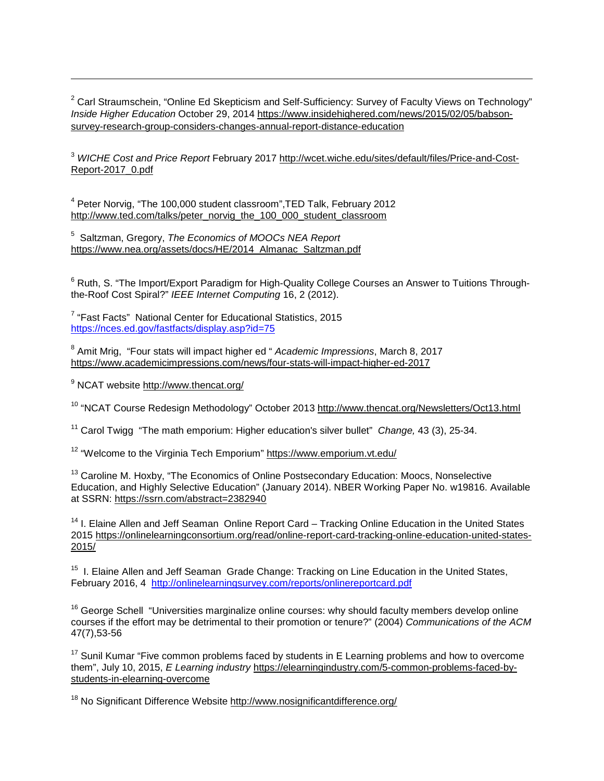<span id="page-4-0"></span><sup>2</sup> Carl Straumschein, "Online Ed Skepticism and Self-Sufficiency: Survey of Faculty Views on Technology" *Inside Higher Education* October 29, 2014 [https://www.insidehighered.com/news/2015/02/05/babson](https://www.insidehighered.com/news/2015/02/05/babson-survey-research-group-considers-changes-annual-report-distance-education)[survey-research-group-considers-changes-annual-report-distance-education](https://www.insidehighered.com/news/2015/02/05/babson-survey-research-group-considers-changes-annual-report-distance-education)

<span id="page-4-1"></span><sup>3</sup> *WICHE Cost and Price Report* February 2017 [http://wcet.wiche.edu/sites/default/files/Price-and-Cost-](http://wcet.wiche.edu/sites/default/files/Price-and-Cost-Report-2017_0.pdf)[Report-2017\\_0.pdf](http://wcet.wiche.edu/sites/default/files/Price-and-Cost-Report-2017_0.pdf)

<span id="page-4-2"></span><sup>4</sup> Peter Norvig, "The 100,000 student classroom",TED Talk, February 2012 [http://www.ted.com/talks/peter\\_norvig\\_the\\_100\\_000\\_student\\_classroom](http://www.ted.com/talks/peter_norvig_the_100_000_student_classroom)

<span id="page-4-3"></span>5 Saltzman, Gregory, *The Economics of MOOCs NEA Report*  [https://www.nea.org/assets/docs/HE/2014\\_Almanac\\_Saltzman.pdf](https://www.nea.org/assets/docs/HE/2014_Almanac_Saltzman.pdf)

<span id="page-4-4"></span><sup>6</sup> Ruth, S. "The Import/Export Paradigm for High-Quality College Courses an Answer to Tuitions Throughthe-Roof Cost Spiral?" *IEEE Internet Computing* 16, 2 (2012).

<span id="page-4-5"></span><sup>7</sup> "Fast Facts" National Center for Educational Statistics, 2015 <https://nces.ed.gov/fastfacts/display.asp?id=75>

<span id="page-4-6"></span><sup>8</sup> Amit Mrig, "Four stats will impact higher ed " *Academic Impressions*, March 8, 2017 <https://www.academicimpressions.com/news/four-stats-will-impact-higher-ed-2017>

<span id="page-4-7"></span><sup>9</sup> NCAT website<http://www.thencat.org/>

 $\overline{\phantom{a}}$ 

<span id="page-4-8"></span><sup>10</sup> "NCAT Course Redesign Methodology" October 2013 <http://www.thencat.org/Newsletters/Oct13.html>

<span id="page-4-9"></span><sup>11</sup> Carol Twigg "The math emporium: Higher education's silver bullet" *Change,* 43 (3), 25-34.

<span id="page-4-10"></span><sup>12</sup> "Welcome to the Virginia Tech Emporium" <https://www.emporium.vt.edu/>

<span id="page-4-11"></span><sup>13</sup> Caroline M. Hoxby, "The Economics of Online Postsecondary Education: Moocs, Nonselective Education, and Highly Selective Education" (January 2014). NBER Working Paper No. w19816. Available at SSRN:<https://ssrn.com/abstract=2382940>

<span id="page-4-12"></span><sup>14</sup> I. Elaine Allen and Jeff Seaman Online Report Card – Tracking Online Education in the United States 2015 [https://onlinelearningconsortium.org/read/online-report-card-tracking-online-education-united-states-](https://onlinelearningconsortium.org/read/online-report-card-tracking-online-education-united-states-2015/)[2015/](https://onlinelearningconsortium.org/read/online-report-card-tracking-online-education-united-states-2015/)

<span id="page-4-13"></span><sup>15</sup> I. Elaine Allen and Jeff Seaman Grade Change: Tracking on Line Education in the United States, February 2016, 4 <http://onlinelearningsurvey.com/reports/onlinereportcard.pdf>

<span id="page-4-14"></span><sup>16</sup> George Schell "Universities marginalize online courses: why should faculty members develop online courses if the effort may be detrimental to their promotion or tenure?" (2004) *Communications of the ACM* 47(7),53-56

<span id="page-4-15"></span> $17$  Sunil Kumar "Five common problems faced by students in E Learning problems and how to overcome them", July 10, 2015, *E Learning industry* [https://elearningindustry.com/5-common-problems-faced-by](https://elearningindustry.com/5-common-problems-faced-by-students-in-elearning-overcome)[students-in-elearning-overcome](https://elearningindustry.com/5-common-problems-faced-by-students-in-elearning-overcome)

<span id="page-4-16"></span><sup>18</sup> No Significant Difference Website<http://www.nosignificantdifference.org/>